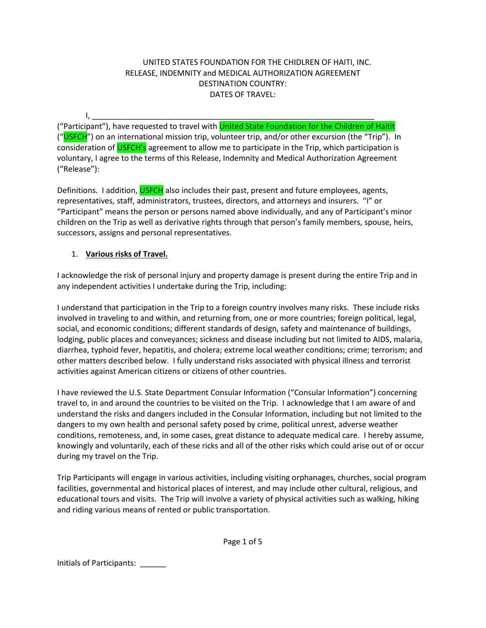### UNITED STATES FOUNDATION FOR THE CHIDLREN OF HAITI, INC. RELEASE, INDEMNITY and MEDICAL AUTHORIZATION AGREEMENT DESTINATION COUNTRY: DATES OF TRAVEL:

I, \_\_\_\_\_\_\_\_\_\_\_\_\_\_\_\_\_\_\_\_\_\_\_\_\_\_\_\_\_\_\_\_\_\_\_\_\_\_\_\_\_\_\_\_\_\_\_\_\_\_\_\_\_\_\_\_\_\_\_\_\_\_\_\_\_ ("Participant"), have requested to travel with <mark>United State Foundation for the Children of Haitit</mark> ("USFCH") on an international mission trip, volunteer trip, and/or other excursion (the "Trip"). In consideration of **USFCH's** agreement to allow me to participate in the Trip, which participation is voluntary, I agree to the terms of this Release, Indemnity and Medical Authorization Agreement ("Release"):

Definitions. I addition, USFCH also includes their past, present and future employees, agents, representatives, staff, administrators, trustees, directors, and attorneys and insurers. "I" or "Participant" means the person or persons named above individually, and any of Participant's minor children on the Trip as well as derivative rights through that person's family members, spouse, heirs, successors, assigns and personal representatives.

## 1. **Various risks of Travel.**

I acknowledge the risk of personal injury and property damage is present during the entire Trip and in any independent activities I undertake during the Trip, including:

I understand that participation in the Trip to a foreign country involves many risks. These include risks involved in traveling to and within, and returning from, one or more countries; foreign political, legal, social, and economic conditions; different standards of design, safety and maintenance of buildings, lodging, public places and conveyances; sickness and disease including but not limited to AIDS, malaria, diarrhea, typhoid fever, hepatitis, and cholera; extreme local weather conditions; crime; terrorism; and other matters described below. I fully understand risks associated with physical illness and terrorist activities against American citizens or citizens of other countries.

I have reviewed the U.S. State Department Consular Information ("Consular Information") concerning travel to, in and around the countries to be visited on the Trip. I acknowledge that I am aware of and understand the risks and dangers included in the Consular Information, including but not limited to the dangers to my own health and personal safety posed by crime, political unrest, adverse weather conditions, remoteness, and, in some cases, great distance to adequate medical care. I hereby assume, knowingly and voluntarily, each of these ricks and all of the other risks which could arise out of or occur during my travel on the Trip.

Trip Participants will engage in various activities, including visiting orphanages, churches, social program facilities, governmental and historical places of interest, and may include other cultural, religious, and educational tours and visits. The Trip will involve a variety of physical activities such as walking, hiking and riding various means of rented or public transportation.

Page 1 of 5

Initials of Participants: \_\_\_\_\_\_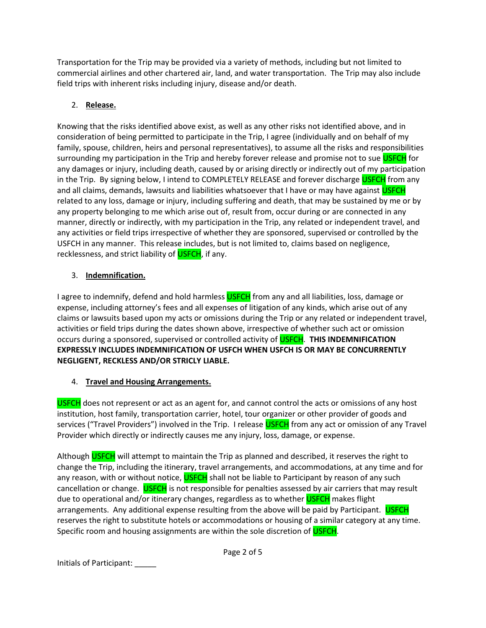Transportation for the Trip may be provided via a variety of methods, including but not limited to commercial airlines and other chartered air, land, and water transportation. The Trip may also include field trips with inherent risks including injury, disease and/or death.

# 2. **Release.**

Knowing that the risks identified above exist, as well as any other risks not identified above, and in consideration of being permitted to participate in the Trip, I agree (individually and on behalf of my family, spouse, children, heirs and personal representatives), to assume all the risks and responsibilities surrounding my participation in the Trip and hereby forever release and promise not to sue USFCH for any damages or injury, including death, caused by or arising directly or indirectly out of my participation in the Trip. By signing below, I intend to COMPLETELY RELEASE and forever discharge USFCH from any and all claims, demands, lawsuits and liabilities whatsoever that I have or may have against USFCH related to any loss, damage or injury, including suffering and death, that may be sustained by me or by any property belonging to me which arise out of, result from, occur during or are connected in any manner, directly or indirectly, with my participation in the Trip, any related or independent travel, and any activities or field trips irrespective of whether they are sponsored, supervised or controlled by the USFCH in any manner. This release includes, but is not limited to, claims based on negligence, recklessness, and strict liability of USFCH, if any.

## 3. **Indemnification.**

I agree to indemnify, defend and hold harmless USFCH from any and all liabilities, loss, damage or expense, including attorney's fees and all expenses of litigation of any kinds, which arise out of any claims or lawsuits based upon my acts or omissions during the Trip or any related or independent travel, activities or field trips during the dates shown above, irrespective of whether such act or omission occurs during a sponsored, supervised or controlled activity of USFCH. **THIS INDEMNIFICATION EXPRESSLY INCLUDES INDEMNIFICATION OF USFCH WHEN USFCH IS OR MAY BE CONCURRENTLY NEGLIGENT, RECKLESS AND/OR STRICLY LIABLE.**

# 4. **Travel and Housing Arrangements.**

USFCH does not represent or act as an agent for, and cannot control the acts or omissions of any host institution, host family, transportation carrier, hotel, tour organizer or other provider of goods and services ("Travel Providers") involved in the Trip. I release USFCH from any act or omission of any Travel Provider which directly or indirectly causes me any injury, loss, damage, or expense.

Although USFCH will attempt to maintain the Trip as planned and described, it reserves the right to change the Trip, including the itinerary, travel arrangements, and accommodations, at any time and for any reason, with or without notice, USFCH shall not be liable to Participant by reason of any such cancellation or change. USFCH is not responsible for penalties assessed by air carriers that may result due to operational and/or itinerary changes, regardless as to whether USFCH makes flight arrangements. Any additional expense resulting from the above will be paid by Participant. USFCH reserves the right to substitute hotels or accommodations or housing of a similar category at any time. Specific room and housing assignments are within the sole discretion of USFCH.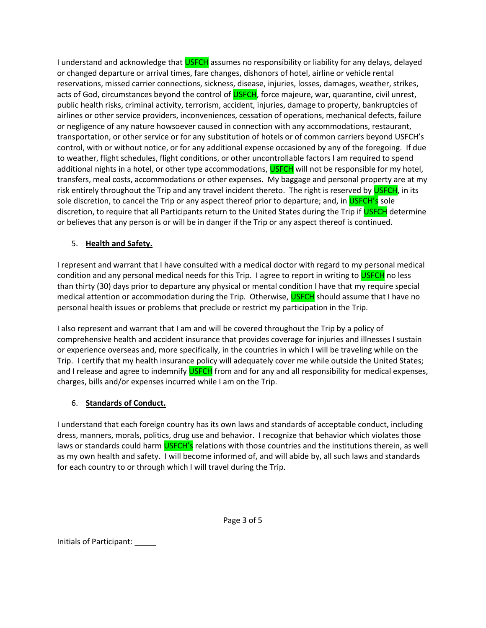I understand and acknowledge that USFCH assumes no responsibility or liability for any delays, delayed or changed departure or arrival times, fare changes, dishonors of hotel, airline or vehicle rental reservations, missed carrier connections, sickness, disease, injuries, losses, damages, weather, strikes, acts of God, circumstances beyond the control of USFCH, force majeure, war, quarantine, civil unrest, public health risks, criminal activity, terrorism, accident, injuries, damage to property, bankruptcies of airlines or other service providers, inconveniences, cessation of operations, mechanical defects, failure or negligence of any nature howsoever caused in connection with any accommodations, restaurant, transportation, or other service or for any substitution of hotels or of common carriers beyond USFCH's control, with or without notice, or for any additional expense occasioned by any of the foregoing. If due to weather, flight schedules, flight conditions, or other uncontrollable factors I am required to spend additional nights in a hotel, or other type accommodations, USFCH will not be responsible for my hotel, transfers, meal costs, accommodations or other expenses. My baggage and personal property are at my risk entirely throughout the Trip and any travel incident thereto. The right is reserved by **USFCH**, in its sole discretion, to cancel the Trip or any aspect thereof prior to departure; and, in **USFCH's** sole discretion, to require that all Participants return to the United States during the Trip if USFCH determine or believes that any person is or will be in danger if the Trip or any aspect thereof is continued.

## 5. **Health and Safety.**

I represent and warrant that I have consulted with a medical doctor with regard to my personal medical condition and any personal medical needs for this Trip. I agree to report in writing to USFCH no less than thirty (30) days prior to departure any physical or mental condition I have that my require special medical attention or accommodation during the Trip. Otherwise, USFCH should assume that I have no personal health issues or problems that preclude or restrict my participation in the Trip.

I also represent and warrant that I am and will be covered throughout the Trip by a policy of comprehensive health and accident insurance that provides coverage for injuries and illnesses I sustain or experience overseas and, more specifically, in the countries in which I will be traveling while on the Trip. I certify that my health insurance policy will adequately cover me while outside the United States; and I release and agree to indemnify USFCH from and for any and all responsibility for medical expenses, charges, bills and/or expenses incurred while I am on the Trip.

## 6. **Standards of Conduct.**

I understand that each foreign country has its own laws and standards of acceptable conduct, including dress, manners, morals, politics, drug use and behavior. I recognize that behavior which violates those laws or standards could harm USFCH's relations with those countries and the institutions therein, as well as my own health and safety. I will become informed of, and will abide by, all such laws and standards for each country to or through which I will travel during the Trip.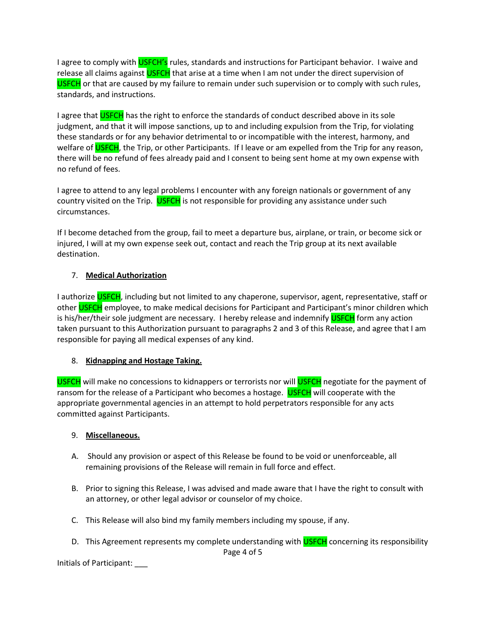I agree to comply with USFCH's rules, standards and instructions for Participant behavior. I waive and release all claims against USFCH that arise at a time when I am not under the direct supervision of USFCH or that are caused by my failure to remain under such supervision or to comply with such rules, standards, and instructions.

I agree that USFCH has the right to enforce the standards of conduct described above in its sole judgment, and that it will impose sanctions, up to and including expulsion from the Trip, for violating these standards or for any behavior detrimental to or incompatible with the interest, harmony, and welfare of USFCH, the Trip, or other Participants. If I leave or am expelled from the Trip for any reason, there will be no refund of fees already paid and I consent to being sent home at my own expense with no refund of fees.

I agree to attend to any legal problems I encounter with any foreign nationals or government of any country visited on the Trip. USFCH is not responsible for providing any assistance under such circumstances.

If I become detached from the group, fail to meet a departure bus, airplane, or train, or become sick or injured, I will at my own expense seek out, contact and reach the Trip group at its next available destination.

#### 7. **Medical Authorization**

I authorize USFCH, including but not limited to any chaperone, supervisor, agent, representative, staff or other USFCH employee, to make medical decisions for Participant and Participant's minor children which is his/her/their sole judgment are necessary. I hereby release and indemnify USFCH form any action taken pursuant to this Authorization pursuant to paragraphs 2 and 3 of this Release, and agree that I am responsible for paying all medical expenses of any kind.

#### 8. **Kidnapping and Hostage Taking.**

USFCH will make no concessions to kidnappers or terrorists nor will USFCH negotiate for the payment of ransom for the release of a Participant who becomes a hostage. USFCH will cooperate with the appropriate governmental agencies in an attempt to hold perpetrators responsible for any acts committed against Participants.

#### 9. **Miscellaneous.**

- A. Should any provision or aspect of this Release be found to be void or unenforceable, all remaining provisions of the Release will remain in full force and effect.
- B. Prior to signing this Release, I was advised and made aware that I have the right to consult with an attorney, or other legal advisor or counselor of my choice.
- C. This Release will also bind my family members including my spouse, if any.
- D. This Agreement represents my complete understanding with USFCH concerning its responsibility Page 4 of 5

Initials of Participant: \_\_\_